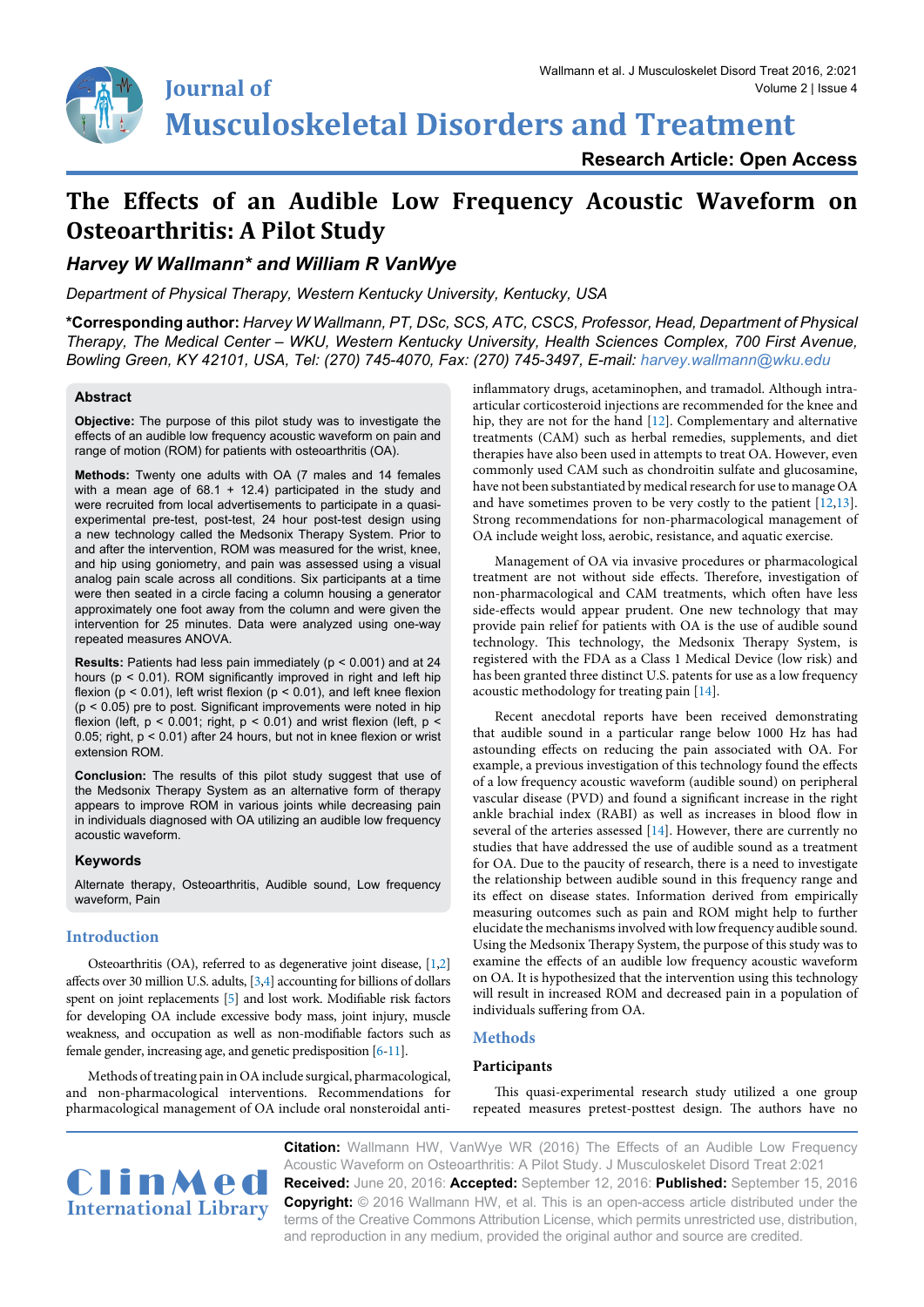# **Musculoskeletal Disorders and Treatment**

**Research Article: Open Access**

## **The Effects of an Audible Low Frequency Acoustic Waveform on Osteoarthritis: A Pilot Study**

### *Harvey W Wallmann\* and William R VanWye*

*Department of Physical Therapy, Western Kentucky University, Kentucky, USA*

**\*Corresponding author:** *Harvey W Wallmann, PT, DSc, SCS, ATC, CSCS, Professor, Head, Department of Physical Therapy, The Medical Center – WKU, Western Kentucky University, Health Sciences Complex, 700 First Avenue, Bowling Green, KY 42101, USA, Tel: (270) 745-4070, Fax: (270) 745-3497, E-mail: harvey.wallmann@wku.edu*

#### **Abstract**

**Objective:** The purpose of this pilot study was to investigate the effects of an audible low frequency acoustic waveform on pain and range of motion (ROM) for patients with osteoarthritis (OA).

**Methods:** Twenty one adults with OA (7 males and 14 females with a mean age of  $68.1 + 12.4$ ) participated in the study and were recruited from local advertisements to participate in a quasiexperimental pre-test, post-test, 24 hour post-test design using a new technology called the Medsonix Therapy System. Prior to and after the intervention, ROM was measured for the wrist, knee, and hip using goniometry, and pain was assessed using a visual analog pain scale across all conditions. Six participants at a time were then seated in a circle facing a column housing a generator approximately one foot away from the column and were given the intervention for 25 minutes. Data were analyzed using one-way repeated measures ANOVA.

**Results:** Patients had less pain immediately (p < 0.001) and at 24 hours (p < 0.01). ROM significantly improved in right and left hip flexion ( $p < 0.01$ ), left wrist flexion ( $p < 0.01$ ), and left knee flexion  $(p < 0.05)$  pre to post. Significant improvements were noted in hip flexion (left,  $p < 0.001$ ; right,  $p < 0.01$ ) and wrist flexion (left,  $p <$ 0.05; right, p < 0.01) after 24 hours, but not in knee flexion or wrist extension ROM.

**Conclusion:** The results of this pilot study suggest that use of the Medsonix Therapy System as an alternative form of therapy appears to improve ROM in various joints while decreasing pain in individuals diagnosed with OA utilizing an audible low frequency acoustic waveform.

#### **Keywords**

Alternate therapy, Osteoarthritis, Audible sound, Low frequency waveform, Pain

#### **Introduction**

Osteoarthritis (OA), referred to as degenerative joint disease, [\[1](#page-3-3)[,2](#page-3-4)] affects over 30 million U.S. adults, [\[3](#page-3-5)[,4\]](#page-3-6) accounting for billions of dollars spent on joint replacements [\[5](#page-3-7)] and lost work. Modifiable risk factors for developing OA include excessive body mass, joint injury, muscle weakness, and occupation as well as non-modifiable factors such as female gender, increasing age, and genetic predisposition [[6-](#page-3-8)[11](#page-3-9)].

Methods of treating pain in OA include surgical, pharmacological, and non-pharmacological interventions. Recommendations for pharmacological management of OA include oral nonsteroidal antiinflammatory drugs, acetaminophen, and tramadol. Although intraarticular corticosteroid injections are recommended for the knee and hip, they are not for the hand [[12\]](#page-3-0). Complementary and alternative treatments (CAM) such as herbal remedies, supplements, and diet therapies have also been used in attempts to treat OA. However, even commonly used CAM such as chondroitin sulfate and glucosamine, have not been substantiated by medical research for use to manage OA and have sometimes proven to be very costly to the patient [\[12,](#page-3-0)[13\]](#page-3-1). Strong recommendations for non-pharmacological management of OA include weight loss, aerobic, resistance, and aquatic exercise.

Management of OA via invasive procedures or pharmacological treatment are not without side effects. Therefore, investigation of non-pharmacological and CAM treatments, which often have less side-effects would appear prudent. One new technology that may provide pain relief for patients with OA is the use of audible sound technology. This technology, the Medsonix Therapy System, is registered with the FDA as a Class 1 Medical Device (low risk) and has been granted three distinct U.S. patents for use as a low frequency acoustic methodology for treating pain [\[14\]](#page-3-2).

Recent anecdotal reports have been received demonstrating that audible sound in a particular range below 1000 Hz has had astounding effects on reducing the pain associated with OA. For example, a previous investigation of this technology found the effects of a low frequency acoustic waveform (audible sound) on peripheral vascular disease (PVD) and found a significant increase in the right ankle brachial index (RABI) as well as increases in blood flow in several of the arteries assessed [[14](#page-3-2)]. However, there are currently no studies that have addressed the use of audible sound as a treatment for OA. Due to the paucity of research, there is a need to investigate the relationship between audible sound in this frequency range and its effect on disease states. Information derived from empirically measuring outcomes such as pain and ROM might help to further elucidate the mechanisms involved with low frequency audible sound. Using the Medsonix Therapy System, the purpose of this study was to examine the effects of an audible low frequency acoustic waveform on OA. It is hypothesized that the intervention using this technology will result in increased ROM and decreased pain in a population of individuals suffering from OA.

#### **Methods**

#### **Participants**

This quasi-experimental research study utilized a one group repeated measures pretest-posttest design. The authors have no



**Citation:** Wallmann HW, VanWye WR (2016) The Effects of an Audible Low Frequency Acoustic Waveform on Osteoarthritis: A Pilot Study. J Musculoskelet Disord Treat 2:021 **Received:** June 20, 2016: **Accepted:** September 12, 2016: **Published:** September 15, 2016 **Copyright:** © 2016 Wallmann HW, et al. This is an open-access article distributed under the terms of the Creative Commons Attribution License, which permits unrestricted use, distribution, and reproduction in any medium, provided the original author and source are credited.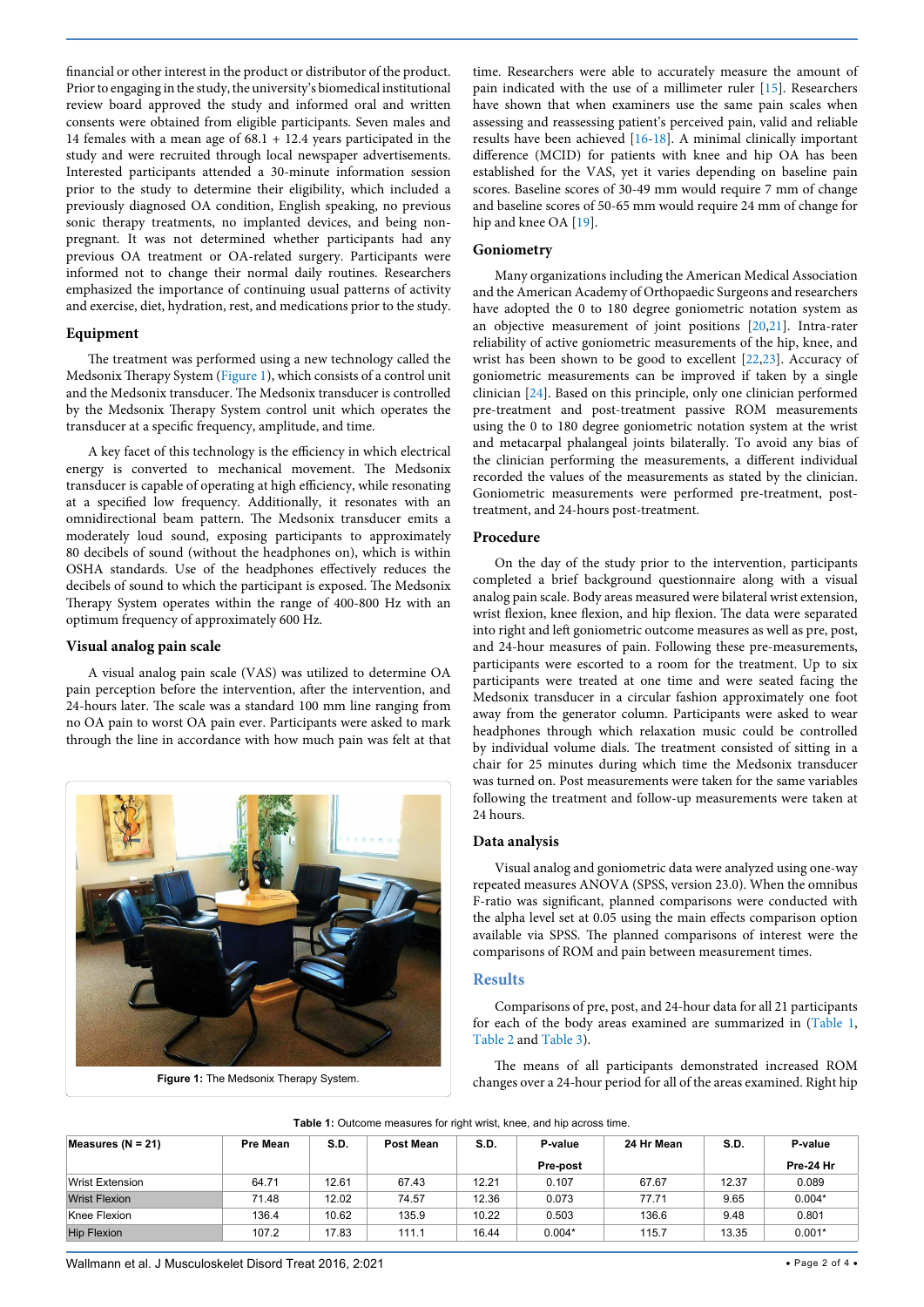financial or other interest in the product or distributor of the product. Prior to engaging in the study, the university's biomedical institutional review board approved the study and informed oral and written consents were obtained from eligible participants. Seven males and 14 females with a mean age of 68.1 + 12.4 years participated in the study and were recruited through local newspaper advertisements. Interested participants attended a 30-minute information session prior to the study to determine their eligibility, which included a previously diagnosed OA condition, English speaking, no previous sonic therapy treatments, no implanted devices, and being nonpregnant. It was not determined whether participants had any previous OA treatment or OA-related surgery. Participants were informed not to change their normal daily routines. Researchers emphasized the importance of continuing usual patterns of activity and exercise, diet, hydration, rest, and medications prior to the study.

#### **Equipment**

The treatment was performed using a new technology called the Medsonix Therapy System [\(Figure 1\)](#page-1-1), which consists of a control unit and the Medsonix transducer. The Medsonix transducer is controlled by the Medsonix Therapy System control unit which operates the transducer at a specific frequency, amplitude, and time.

A key facet of this technology is the efficiency in which electrical energy is converted to mechanical movement. The Medsonix transducer is capable of operating at high efficiency, while resonating at a specified low frequency. Additionally, it resonates with an omnidirectional beam pattern. The Medsonix transducer emits a moderately loud sound, exposing participants to approximately 80 decibels of sound (without the headphones on), which is within OSHA standards. Use of the headphones effectively reduces the decibels of sound to which the participant is exposed. The Medsonix Therapy System operates within the range of 400-800 Hz with an optimum frequency of approximately 600 Hz.

#### **Visual analog pain scale**

A visual analog pain scale (VAS) was utilized to determine OA pain perception before the intervention, after the intervention, and 24-hours later. The scale was a standard 100 mm line ranging from no OA pain to worst OA pain ever. Participants were asked to mark through the line in accordance with how much pain was felt at that

<span id="page-1-1"></span>

**Figure 1:** The Medsonix Therapy System.

time. Researchers were able to accurately measure the amount of pain indicated with the use of a millimeter ruler [[15](#page-3-10)]. Researchers have shown that when examiners use the same pain scales when assessing and reassessing patient's perceived pain, valid and reliable results have been achieved [[16-](#page-3-11)[18](#page-3-12)]. A minimal clinically important difference (MCID) for patients with knee and hip OA has been established for the VAS, yet it varies depending on baseline pain scores. Baseline scores of 30-49 mm would require 7 mm of change and baseline scores of 50-65 mm would require 24 mm of change for hip and knee OA [[19](#page-3-13)].

#### **Goniometry**

Many organizations including the American Medical Association and the American Academy of Orthopaedic Surgeons and researchers have adopted the 0 to 180 degree goniometric notation system as an objective measurement of joint positions [[20,](#page-3-14)[21](#page-3-15)]. Intra-rater reliability of active goniometric measurements of the hip, knee, and wrist has been shown to be good to excellent [[22](#page-3-16)[,23](#page-3-17)]. Accuracy of goniometric measurements can be improved if taken by a single clinician [\[24\]](#page-3-18). Based on this principle, only one clinician performed pre-treatment and post-treatment passive ROM measurements using the 0 to 180 degree goniometric notation system at the wrist and metacarpal phalangeal joints bilaterally. To avoid any bias of the clinician performing the measurements, a different individual recorded the values of the measurements as stated by the clinician. Goniometric measurements were performed pre-treatment, posttreatment, and 24-hours post-treatment.

#### **Procedure**

On the day of the study prior to the intervention, participants completed a brief background questionnaire along with a visual analog pain scale. Body areas measured were bilateral wrist extension, wrist flexion, knee flexion, and hip flexion. The data were separated into right and left goniometric outcome measures as well as pre, post, and 24-hour measures of pain. Following these pre-measurements, participants were escorted to a room for the treatment. Up to six participants were treated at one time and were seated facing the Medsonix transducer in a circular fashion approximately one foot away from the generator column. Participants were asked to wear headphones through which relaxation music could be controlled by individual volume dials. The treatment consisted of sitting in a chair for 25 minutes during which time the Medsonix transducer was turned on. Post measurements were taken for the same variables following the treatment and follow-up measurements were taken at 24 hours.

#### **Data analysis**

Visual analog and goniometric data were analyzed using one-way repeated measures ANOVA (SPSS, version 23.0). When the omnibus F-ratio was significant, planned comparisons were conducted with the alpha level set at 0.05 using the main effects comparison option available via SPSS. The planned comparisons of interest were the comparisons of ROM and pain between measurement times.

#### **Results**

Comparisons of pre, post, and 24-hour data for all 21 participants for each of the body areas examined are summarized in ([Table 1,](#page-1-0) [Table 2](#page-2-0) and [Table 3\)](#page-2-1).

<span id="page-1-0"></span>The means of all participants demonstrated increased ROM changes over a 24-hour period for all of the areas examined. Right hip

| Measures ( $N = 21$ ) | <b>Pre Mean</b> | S.D.  | Post Mean | S.D.  | P-value  | 24 Hr Mean | S.D.  | P-value   |
|-----------------------|-----------------|-------|-----------|-------|----------|------------|-------|-----------|
|                       |                 |       |           |       | Pre-post |            |       | Pre-24 Hr |
| Wrist Extension       | 64.71           | 12.61 | 67.43     | 12.21 | 0.107    | 67.67      | 12.37 | 0.089     |
| <b>Wrist Flexion</b>  | 71.48           | 12.02 | 74.57     | 12.36 | 0.073    | 77.71      | 9.65  | $0.004*$  |
| Knee Flexion          | 136.4           | 10.62 | 135.9     | 10.22 | 0.503    | 136.6      | 9.48  | 0.801     |
| <b>Hip Flexion</b>    | 107.2           | 17.83 | 111.1     | 16.44 | $0.004*$ | 115.7      | 13.35 | $0.001*$  |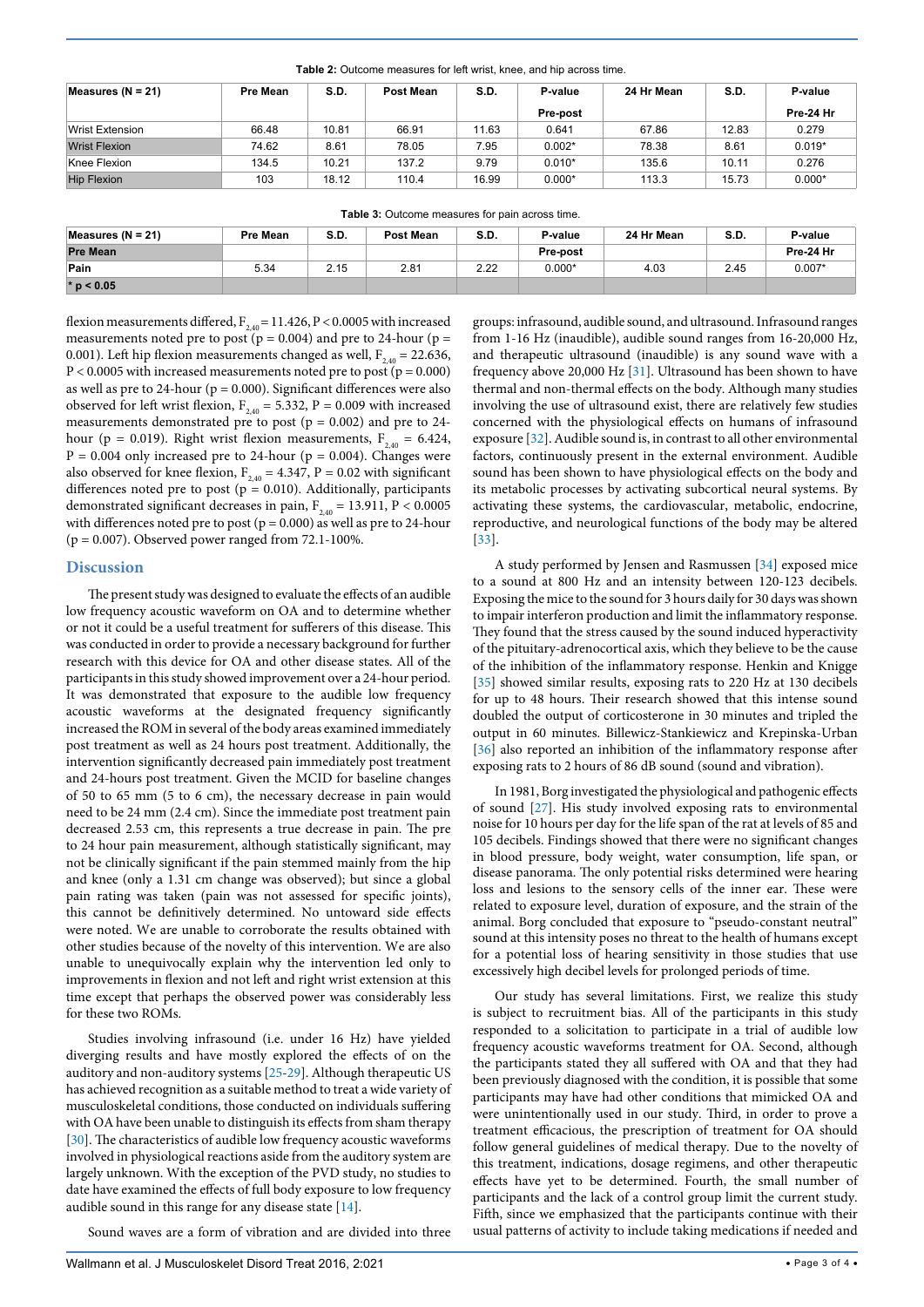<span id="page-2-0"></span>

| Table 2: Outcome measures for left wrist, knee, and hip across time. |  |  |  |
|----------------------------------------------------------------------|--|--|--|
|----------------------------------------------------------------------|--|--|--|

| Measures ( $N = 21$ ) | Pre Mean | S.D.  | Post Mean | S.D.  | P-value  | 24 Hr Mean | S.D.  | P-value   |
|-----------------------|----------|-------|-----------|-------|----------|------------|-------|-----------|
|                       |          |       |           |       | Pre-post |            |       | Pre-24 Hr |
| Wrist Extension       | 66.48    | 10.81 | 66.91     | 11.63 | 0.641    | 67.86      | 12.83 | 0.279     |
| <b>Wrist Flexion</b>  | 74.62    | 8.61  | 78.05     | 7.95  | $0.002*$ | 78.38      | 8.61  | $0.019*$  |
| Knee Flexion          | 134.5    | 10.21 | 137.2     | 9.79  | $0.010*$ | 135.6      | 10.11 | 0.276     |
| <b>Hip Flexion</b>    | 103      | 18.12 | 110.4     | 16.99 | $0.000*$ | 113.3      | 15.73 | $0.000*$  |

<span id="page-2-1"></span>

| Table 3: Outcome measures for pain across time. |  |
|-------------------------------------------------|--|
|-------------------------------------------------|--|

| Measures ( $N = 21$ ) | <b>Pre Mean</b> | S.D. | Post Mean | S.D. | P-value  | 24 Hr Mean | S.D. | P-value   |
|-----------------------|-----------------|------|-----------|------|----------|------------|------|-----------|
| <b>Pre Mean</b>       |                 |      |           |      | Pre-post |            |      | Pre-24 Hr |
| Pain                  | 5.34            | 2.15 | 2.81      | 2.22 | $0.000*$ | 4.03       | 2.45 | $0.007*$  |
| $* p < 0.05$          |                 |      |           |      |          |            |      |           |

flexion measurements differed,  $F_{2,40} = 11.426$ , P < 0.0005 with increased measurements noted pre to post ( $p = 0.004$ ) and pre to 24-hour ( $p =$ 0.001). Left hip flexion measurements changed as well,  $F_{2,40} = 22.636$ ,  $P < 0.0005$  with increased measurements noted pre to post ( $p = 0.000$ ) as well as pre to 24-hour ( $p = 0.000$ ). Significant differences were also observed for left wrist flexion,  $F_{2,40} = 5.332$ ,  $P = 0.009$  with increased measurements demonstrated pre to post ( $p = 0.002$ ) and pre to 24hour (p = 0.019). Right wrist flexion measurements,  $F_{2,40} = 6.424$ ,  $P = 0.004$  only increased pre to 24-hour ( $p = 0.004$ ). Changes were also observed for knee flexion,  $F_{2,40} = 4.347$ ,  $P = 0.02$  with significant differences noted pre to post ( $p = 0.010$ ). Additionally, participants demonstrated significant decreases in pain,  $F_{2,40} = 13.911$ ,  $P < 0.0005$ with differences noted pre to post ( $p = 0.000$ ) as well as pre to 24-hour  $(p = 0.007)$ . Observed power ranged from 72.1-100%.

#### **Discussion**

The present study was designed to evaluate the effects of an audible low frequency acoustic waveform on OA and to determine whether or not it could be a useful treatment for sufferers of this disease. This was conducted in order to provide a necessary background for further research with this device for OA and other disease states. All of the participants in this study showed improvement over a 24-hour period. It was demonstrated that exposure to the audible low frequency acoustic waveforms at the designated frequency significantly increased the ROM in several of the body areas examined immediately post treatment as well as 24 hours post treatment. Additionally, the intervention significantly decreased pain immediately post treatment and 24-hours post treatment. Given the MCID for baseline changes of 50 to 65 mm (5 to 6 cm), the necessary decrease in pain would need to be 24 mm (2.4 cm). Since the immediate post treatment pain decreased 2.53 cm, this represents a true decrease in pain. The pre to 24 hour pain measurement, although statistically significant, may not be clinically significant if the pain stemmed mainly from the hip and knee (only a 1.31 cm change was observed); but since a global pain rating was taken (pain was not assessed for specific joints), this cannot be definitively determined. No untoward side effects were noted. We are unable to corroborate the results obtained with other studies because of the novelty of this intervention. We are also unable to unequivocally explain why the intervention led only to improvements in flexion and not left and right wrist extension at this time except that perhaps the observed power was considerably less for these two ROMs.

Studies involving infrasound (i.e. under 16 Hz) have yielded diverging results and have mostly explored the effects of on the auditory and non-auditory systems [\[25](#page-3-19)[-29\]](#page-3-20). Although therapeutic US has achieved recognition as a suitable method to treat a wide variety of musculoskeletal conditions, those conducted on individuals suffering with OA have been unable to distinguish its effects from sham therapy [[30](#page-3-21)]. The characteristics of audible low frequency acoustic waveforms involved in physiological reactions aside from the auditory system are largely unknown. With the exception of the PVD study, no studies to date have examined the effects of full body exposure to low frequency audible sound in this range for any disease state [\[14\]](#page-3-2).

Sound waves are a form of vibration and are divided into three

groups: infrasound, audible sound, and ultrasound. Infrasound ranges from 1-16 Hz (inaudible), audible sound ranges from 16-20,000 Hz, and therapeutic ultrasound (inaudible) is any sound wave with a frequency above 20,000 Hz [[31](#page-3-22)]. Ultrasound has been shown to have thermal and non-thermal effects on the body. Although many studies involving the use of ultrasound exist, there are relatively few studies concerned with the physiological effects on humans of infrasound exposure [[32\]](#page-3-23). Audible sound is, in contrast to all other environmental factors, continuously present in the external environment. Audible sound has been shown to have physiological effects on the body and its metabolic processes by activating subcortical neural systems. By activating these systems, the cardiovascular, metabolic, endocrine, reproductive, and neurological functions of the body may be altered [[33](#page-3-24)].

A study performed by Jensen and Rasmussen [[34](#page-3-25)] exposed mice to a sound at 800 Hz and an intensity between 120-123 decibels. Exposing the mice to the sound for 3 hours daily for 30 days was shown to impair interferon production and limit the inflammatory response. They found that the stress caused by the sound induced hyperactivity of the pituitary-adrenocortical axis, which they believe to be the cause of the inhibition of the inflammatory response. Henkin and Knigge [[35](#page-3-26)] showed similar results, exposing rats to 220 Hz at 130 decibels for up to 48 hours. Their research showed that this intense sound doubled the output of corticosterone in 30 minutes and tripled the output in 60 minutes. Billewicz-Stankiewicz and Krepinska-Urban [[36](#page-3-27)] also reported an inhibition of the inflammatory response after exposing rats to 2 hours of 86 dB sound (sound and vibration).

In 1981, Borg investigated the physiological and pathogenic effects of sound [[27](#page-3-28)]. His study involved exposing rats to environmental noise for 10 hours per day for the life span of the rat at levels of 85 and 105 decibels. Findings showed that there were no significant changes in blood pressure, body weight, water consumption, life span, or disease panorama. The only potential risks determined were hearing loss and lesions to the sensory cells of the inner ear. These were related to exposure level, duration of exposure, and the strain of the animal. Borg concluded that exposure to "pseudo-constant neutral" sound at this intensity poses no threat to the health of humans except for a potential loss of hearing sensitivity in those studies that use excessively high decibel levels for prolonged periods of time.

Our study has several limitations. First, we realize this study is subject to recruitment bias. All of the participants in this study responded to a solicitation to participate in a trial of audible low frequency acoustic waveforms treatment for OA. Second, although the participants stated they all suffered with OA and that they had been previously diagnosed with the condition, it is possible that some participants may have had other conditions that mimicked OA and were unintentionally used in our study. Third, in order to prove a treatment efficacious, the prescription of treatment for OA should follow general guidelines of medical therapy. Due to the novelty of this treatment, indications, dosage regimens, and other therapeutic effects have yet to be determined. Fourth, the small number of participants and the lack of a control group limit the current study. Fifth, since we emphasized that the participants continue with their usual patterns of activity to include taking medications if needed and